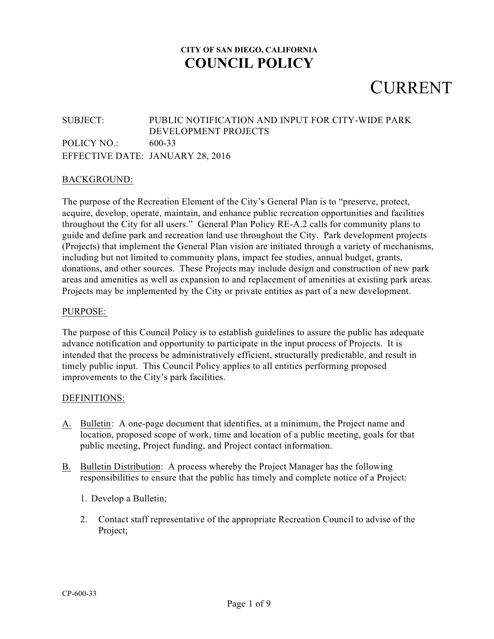## CURRENT

#### SUBJECT: PUBLIC NOTIFICATION AND INPUT FOR CITY-WIDE PARK DEVELOPMENT PROJECTS POLICY NO.: 600-33 EFFECTIVE DATE: JANUARY 28, 2016

#### BACKGROUND:

The purpose of the Recreation Element of the City's General Plan is to "preserve, protect, acquire, develop, operate, maintain, and enhance public recreation opportunities and facilities throughout the City for all users." General Plan Policy RE-A.2 calls for community plans to guide and define park and recreation land use throughout the City. Park development projects (Projects) that implement the General Plan vision are initiated through a variety of mechanisms, including but not limited to community plans, impact fee studies, annual budget, grants, donations, and other sources. These Projects may include design and construction of new park areas and amenities as well as expansion to and replacement of amenities at existing park areas. Projects may be implemented by the City or private entities as part of a new development.

#### PURPOSE:

The purpose of this Council Policy is to establish guidelines to assure the public has adequate advance notification and opportunity to participate in the input process of Projects. It is intended that the process be administratively efficient, structurally predictable, and result in timely public input. This Council Policy applies to all entities performing proposed improvements to the City's park facilities.

#### DEFINITIONS:

- A. Bulletin: A one-page document that identifies, at a minimum, the Project name and location, proposed scope of work, time and location of a public meeting, goals for that public meeting, Project funding, and Project contact information.
- B. Bulletin Distribution: A process whereby the Project Manager has the following responsibilities to ensure that the public has timely and complete notice of a Project:
	- 1. Develop a Bulletin;
	- 2. Contact staff representative of the appropriate Recreation Council to advise of the Project;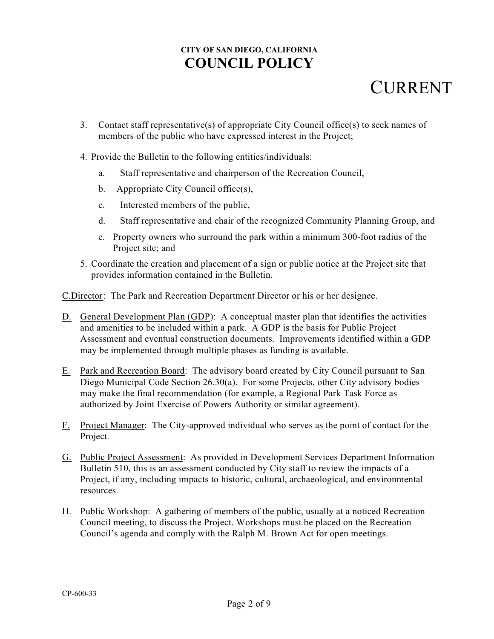## **CURRENT**

- 3. Contact staff representative(s) of appropriate City Council office(s) to seek names of members of the public who have expressed interest in the Project;
- 4. Provide the Bulletin to the following entities/individuals:
	- a. Staff representative and chairperson of the Recreation Council,
	- b. Appropriate City Council office(s),
	- c. Interested members of the public,
	- d. Staff representative and chair of the recognized Community Planning Group, and
	- e. Property owners who surround the park within a minimum 300-foot radius of the Project site; and
- 5. Coordinate the creation and placement of a sign or public notice at the Project site that provides information contained in the Bulletin.

C.Director: The Park and Recreation Department Director or his or her designee.

- D. General Development Plan (GDP): A conceptual master plan that identifies the activities and amenities to be included within a park. A GDP is the basis for Public Project Assessment and eventual construction documents. Improvements identified within a GDP may be implemented through multiple phases as funding is available.
- E. Park and Recreation Board: The advisory board created by City Council pursuant to San Diego Municipal Code Section 26.30(a). For some Projects, other City advisory bodies may make the final recommendation (for example, a Regional Park Task Force as authorized by Joint Exercise of Powers Authority or similar agreement).
- F. Project Manager: The City-approved individual who serves as the point of contact for the Project.
- G. Public Project Assessment: As provided in Development Services Department Information Bulletin 510, this is an assessment conducted by City staff to review the impacts of a Project, if any, including impacts to historic, cultural, archaeological, and environmental resources.
- H. Public Workshop: A gathering of members of the public, usually at a noticed Recreation Council meeting, to discuss the Project. Workshops must be placed on the Recreation Council's agenda and comply with the Ralph M. Brown Act for open meetings.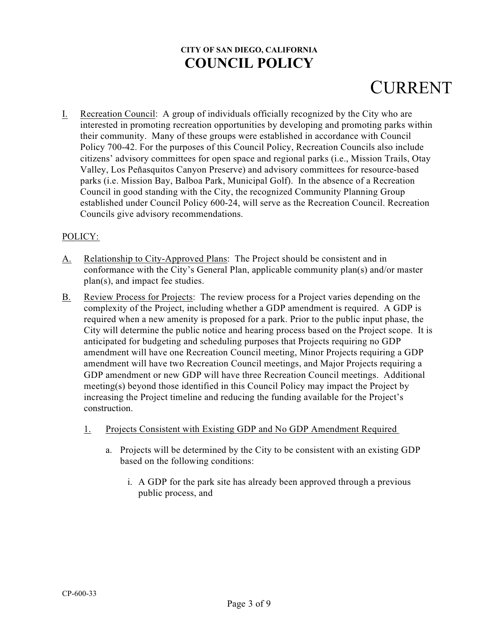# **CURRENT**

I. Recreation Council: A group of individuals officially recognized by the City who are interested in promoting recreation opportunities by developing and promoting parks within their community. Many of these groups were established in accordance with Council Policy 700-42. For the purposes of this Council Policy, Recreation Councils also include citizens' advisory committees for open space and regional parks (i.e., Mission Trails, Otay Valley, Los Peñasquitos Canyon Preserve) and advisory committees for resource-based parks (i.e. Mission Bay, Balboa Park, Municipal Golf). In the absence of a Recreation Council in good standing with the City, the recognized Community Planning Group established under Council Policy 600-24, will serve as the Recreation Council. Recreation Councils give advisory recommendations.

#### POLICY:

- A. Relationship to City-Approved Plans: The Project should be consistent and in conformance with the City's General Plan, applicable community plan(s) and/or master plan(s), and impact fee studies.
- B. Review Process for Projects: The review process for a Project varies depending on the complexity of the Project, including whether a GDP amendment is required. A GDP is required when a new amenity is proposed for a park. Prior to the public input phase, the City will determine the public notice and hearing process based on the Project scope. It is anticipated for budgeting and scheduling purposes that Projects requiring no GDP amendment will have one Recreation Council meeting, Minor Projects requiring a GDP amendment will have two Recreation Council meetings, and Major Projects requiring a GDP amendment or new GDP will have three Recreation Council meetings. Additional meeting(s) beyond those identified in this Council Policy may impact the Project by increasing the Project timeline and reducing the funding available for the Project's construction.
	- 1. Projects Consistent with Existing GDP and No GDP Amendment Required
		- a. Projects will be determined by the City to be consistent with an existing GDP based on the following conditions:
			- i. A GDP for the park site has already been approved through a previous public process, and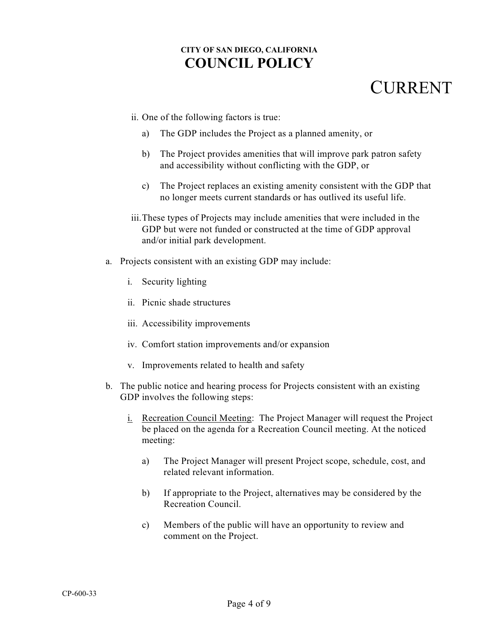- ii. One of the following factors is true:
	- a) The GDP includes the Project as a planned amenity, or
	- b) The Project provides amenities that will improve park patron safety and accessibility without conflicting with the GDP, or
	- c) The Project replaces an existing amenity consistent with the GDP that no longer meets current standards or has outlived its useful life.
- iii.These types of Projects may include amenities that were included in the GDP but were not funded or constructed at the time of GDP approval and/or initial park development.
- a. Projects consistent with an existing GDP may include:
	- i. Security lighting
	- ii. Picnic shade structures
	- iii. Accessibility improvements
	- iv. Comfort station improvements and/or expansion
	- v. Improvements related to health and safety
- b. The public notice and hearing process for Projects consistent with an existing GDP involves the following steps:
	- i. Recreation Council Meeting: The Project Manager will request the Project be placed on the agenda for a Recreation Council meeting. At the noticed meeting:
		- a) The Project Manager will present Project scope, schedule, cost, and related relevant information.
		- b) If appropriate to the Project, alternatives may be considered by the Recreation Council.
		- c) Members of the public will have an opportunity to review and comment on the Project.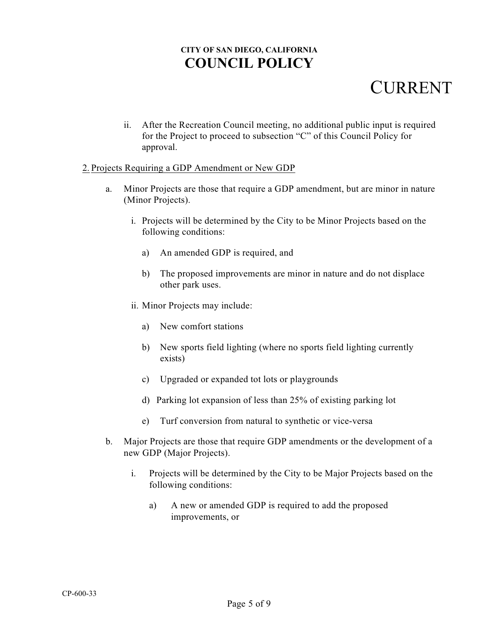## CURRENT

ii. After the Recreation Council meeting, no additional public input is required for the Project to proceed to subsection "C" of this Council Policy for approval.

#### 2. Projects Requiring a GDP Amendment or New GDP

- a. Minor Projects are those that require a GDP amendment, but are minor in nature (Minor Projects).
	- i. Projects will be determined by the City to be Minor Projects based on the following conditions:
		- a) An amended GDP is required, and
		- b) The proposed improvements are minor in nature and do not displace other park uses.
	- ii. Minor Projects may include:
		- a) New comfort stations
		- b) New sports field lighting (where no sports field lighting currently exists)
		- c) Upgraded or expanded tot lots or playgrounds
		- d) Parking lot expansion of less than 25% of existing parking lot
		- e) Turf conversion from natural to synthetic or vice-versa
- b. Major Projects are those that require GDP amendments or the development of a new GDP (Major Projects).
	- i. Projects will be determined by the City to be Major Projects based on the following conditions:
		- a) A new or amended GDP is required to add the proposed improvements, or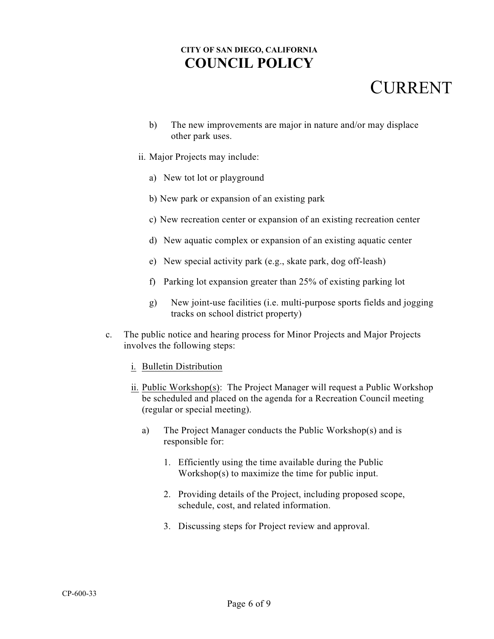- b) The new improvements are major in nature and/or may displace other park uses.
- ii. Major Projects may include:
	- a) New tot lot or playground
	- b) New park or expansion of an existing park
	- c) New recreation center or expansion of an existing recreation center
	- d) New aquatic complex or expansion of an existing aquatic center
	- e) New special activity park (e.g., skate park, dog off-leash)
	- f) Parking lot expansion greater than 25% of existing parking lot
	- g) New joint-use facilities (i.e. multi-purpose sports fields and jogging tracks on school district property)
- c. The public notice and hearing process for Minor Projects and Major Projects involves the following steps:
	- i. Bulletin Distribution
	- ii. Public Workshop(s): The Project Manager will request a Public Workshop be scheduled and placed on the agenda for a Recreation Council meeting (regular or special meeting).
		- a) The Project Manager conducts the Public Workshop(s) and is responsible for:
			- 1. Efficiently using the time available during the Public Workshop(s) to maximize the time for public input.
			- 2. Providing details of the Project, including proposed scope, schedule, cost, and related information.
			- 3. Discussing steps for Project review and approval.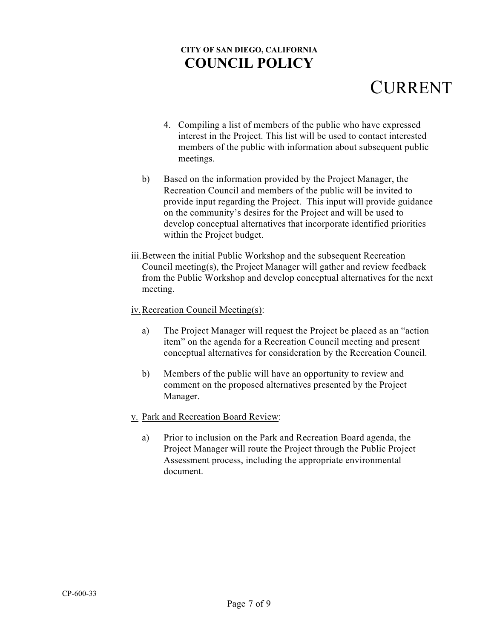- 4. Compiling a list of members of the public who have expressed interest in the Project. This list will be used to contact interested members of the public with information about subsequent public meetings.
- b) Based on the information provided by the Project Manager, the Recreation Council and members of the public will be invited to provide input regarding the Project. This input will provide guidance on the community's desires for the Project and will be used to develop conceptual alternatives that incorporate identified priorities within the Project budget.
- iii.Between the initial Public Workshop and the subsequent Recreation Council meeting(s), the Project Manager will gather and review feedback from the Public Workshop and develop conceptual alternatives for the next meeting.
- iv.Recreation Council Meeting(s):
	- a) The Project Manager will request the Project be placed as an "action item" on the agenda for a Recreation Council meeting and present conceptual alternatives for consideration by the Recreation Council.
	- b) Members of the public will have an opportunity to review and comment on the proposed alternatives presented by the Project Manager.
- v. Park and Recreation Board Review:
	- a) Prior to inclusion on the Park and Recreation Board agenda, the Project Manager will route the Project through the Public Project Assessment process, including the appropriate environmental document.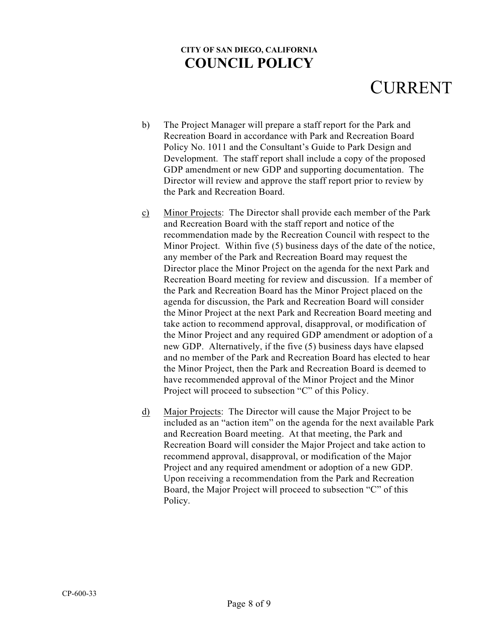- b) The Project Manager will prepare a staff report for the Park and Recreation Board in accordance with Park and Recreation Board Policy No. 1011 and the Consultant's Guide to Park Design and Development. The staff report shall include a copy of the proposed GDP amendment or new GDP and supporting documentation. The Director will review and approve the staff report prior to review by the Park and Recreation Board.
- c) Minor Projects: The Director shall provide each member of the Park and Recreation Board with the staff report and notice of the recommendation made by the Recreation Council with respect to the Minor Project. Within five (5) business days of the date of the notice, any member of the Park and Recreation Board may request the Director place the Minor Project on the agenda for the next Park and Recreation Board meeting for review and discussion. If a member of the Park and Recreation Board has the Minor Project placed on the agenda for discussion, the Park and Recreation Board will consider the Minor Project at the next Park and Recreation Board meeting and take action to recommend approval, disapproval, or modification of the Minor Project and any required GDP amendment or adoption of a new GDP. Alternatively, if the five (5) business days have elapsed and no member of the Park and Recreation Board has elected to hear the Minor Project, then the Park and Recreation Board is deemed to have recommended approval of the Minor Project and the Minor Project will proceed to subsection "C" of this Policy.
- d) Major Projects: The Director will cause the Major Project to be included as an "action item" on the agenda for the next available Park and Recreation Board meeting. At that meeting, the Park and Recreation Board will consider the Major Project and take action to recommend approval, disapproval, or modification of the Major Project and any required amendment or adoption of a new GDP. Upon receiving a recommendation from the Park and Recreation Board, the Major Project will proceed to subsection "C" of this Policy.